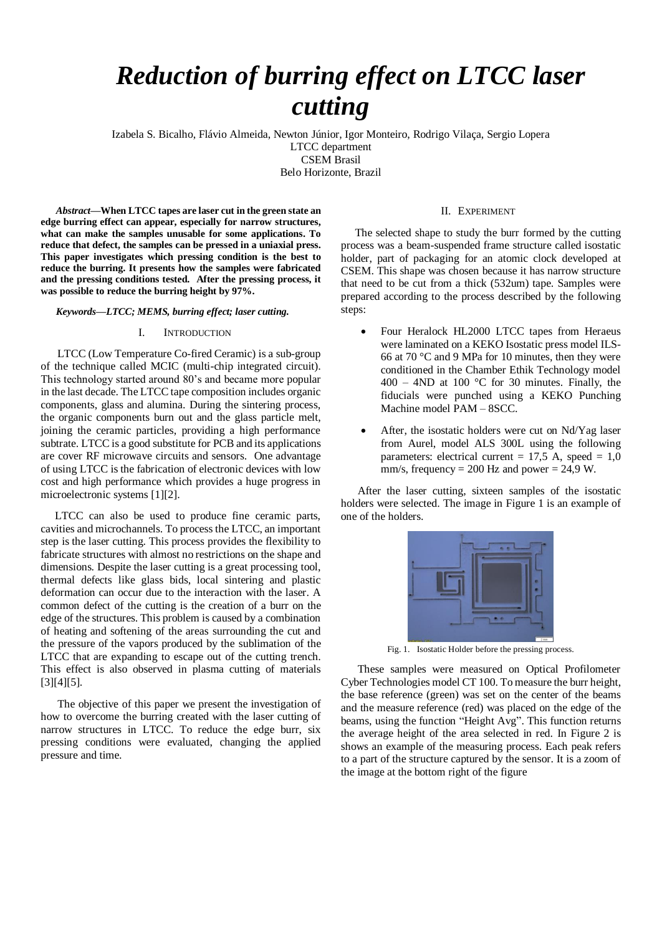# *Reduction of burring effect on LTCC laser cutting*

Izabela S. Bicalho, Flávio Almeida, Newton Júnior, Igor Monteiro, Rodrigo Vilaça, Sergio Lopera LTCC department CSEM Brasil Belo Horizonte, Brazil

*Abstract***—When LTCC tapes are laser cut in the green state an edge burring effect can appear, especially for narrow structures, what can make the samples unusable for some applications. To reduce that defect, the samples can be pressed in a uniaxial press. This paper investigates which pressing condition is the best to reduce the burring. It presents how the samples were fabricated and the pressing conditions tested. After the pressing process, it was possible to reduce the burring height by 97%.**

*Keywords—LTCC; MEMS, burring effect; laser cutting.*

## I. INTRODUCTION

 LTCC (Low Temperature Co-fired Ceramic) is a sub-group of the technique called MCIC (multi-chip integrated circuit). This technology started around 80's and became more popular in the last decade. The LTCC tape composition includes organic components, glass and alumina. During the sintering process, the organic components burn out and the glass particle melt, joining the ceramic particles, providing a high performance subtrate. LTCC is a good substitute for PCB and its applications are cover RF microwave circuits and sensors. One advantage of using LTCC is the fabrication of electronic devices with low cost and high performance which provides a huge progress in microelectronic systems [1][2].

 LTCC can also be used to produce fine ceramic parts, cavities and microchannels. To process the LTCC, an important step is the laser cutting. This process provides the flexibility to fabricate structures with almost no restrictions on the shape and dimensions. Despite the laser cutting is a great processing tool, thermal defects like glass bids, local sintering and plastic deformation can occur due to the interaction with the laser. A common defect of the cutting is the creation of a burr on the edge of the structures. This problem is caused by a combination of heating and softening of the areas surrounding the cut and the pressure of the vapors produced by the sublimation of the LTCC that are expanding to escape out of the cutting trench. This effect is also observed in plasma cutting of materials [3][4][5].

 The objective of this paper we present the investigation of how to overcome the burring created with the laser cutting of narrow structures in LTCC. To reduce the edge burr, six pressing conditions were evaluated, changing the applied pressure and time.

## II. EXPERIMENT

 The selected shape to study the burr formed by the cutting process was a beam-suspended frame structure called isostatic holder, part of packaging for an atomic clock developed at CSEM. This shape was chosen because it has narrow structure that need to be cut from a thick (532um) tape. Samples were prepared according to the process described by the following steps:

- Four Heralock HL2000 LTCC tapes from Heraeus were laminated on a KEKO Isostatic press model ILS-66 at 70 °C and 9 MPa for 10 minutes, then they were conditioned in the Chamber Ethik Technology model  $400 - 4ND$  at 100 °C for 30 minutes. Finally, the fiducials were punched using a KEKO Punching Machine model PAM – 8SCC.
- After, the isostatic holders were cut on Nd/Yag laser from Aurel, model ALS 300L using the following parameters: electrical current =  $17.5$  A, speed =  $1.0$ mm/s, frequency =  $200$  Hz and power =  $24.9$  W.

 After the laser cutting, sixteen samples of the isostatic holders were selected. The image in Figure 1 is an example of one of the holders.



Fig. 1. Isostatic Holder before the pressing process.

 These samples were measured on Optical Profilometer Cyber Technologies model CT 100. To measure the burr height, the base reference (green) was set on the center of the beams and the measure reference (red) was placed on the edge of the beams, using the function "Height Avg". This function returns the average height of the area selected in red. In Figure 2 is shows an example of the measuring process. Each peak refers to a part of the structure captured by the sensor. It is a zoom of the image at the bottom right of the figure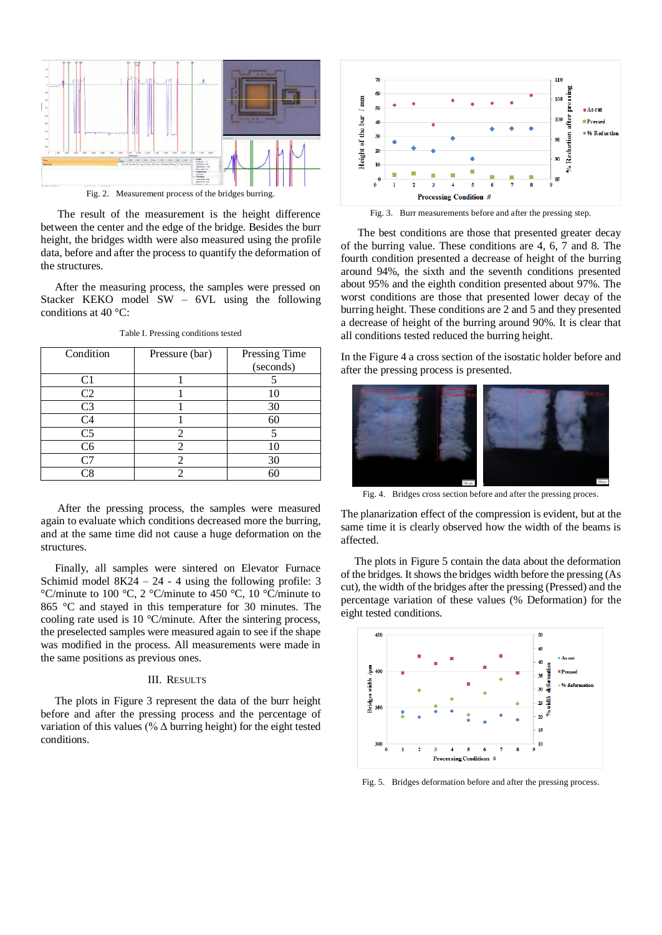

 The result of the measurement is the height difference between the center and the edge of the bridge. Besides the burr height, the bridges width were also measured using the profile data, before and after the process to quantify the deformation of the structures.

 After the measuring process, the samples were pressed on Stacker KEKO model SW – 6VL using the following conditions at 40 °C:

| Condition      | Pressure (bar) | Pressing Time<br>(seconds) |
|----------------|----------------|----------------------------|
| C <sub>1</sub> |                |                            |
| C <sub>2</sub> |                | 10                         |
| C <sub>3</sub> |                | 30                         |
| C <sub>4</sub> |                | 60                         |
| C <sub>5</sub> |                |                            |
| C <sub>6</sub> | 2              | 10                         |
| ۲٦             |                | 30                         |
| ි8             |                | 60                         |

Table I. Pressing conditions tested

 After the pressing process, the samples were measured again to evaluate which conditions decreased more the burring, and at the same time did not cause a huge deformation on the structures.

 Finally, all samples were sintered on Elevator Furnace Schimid model  $8K24 - 24 - 4$  using the following profile: 3 °C/minute to 100 °C, 2 °C/minute to 450 °C, 10 °C/minute to 865 °C and stayed in this temperature for 30 minutes. The cooling rate used is 10 °C/minute. After the sintering process, the preselected samples were measured again to see if the shape was modified in the process. All measurements were made in the same positions as previous ones.

### III. RESULTS

 The plots in Figure 3 represent the data of the burr height before and after the pressing process and the percentage of variation of this values (%  $\Delta$  burring height) for the eight tested conditions.



Fig. 3. Burr measurements before and after the pressing step.

 The best conditions are those that presented greater decay of the burring value. These conditions are 4, 6, 7 and 8. The fourth condition presented a decrease of height of the burring around 94%, the sixth and the seventh conditions presented about 95% and the eighth condition presented about 97%. The worst conditions are those that presented lower decay of the burring height. These conditions are 2 and 5 and they presented a decrease of height of the burring around 90%. It is clear that all conditions tested reduced the burring height.

In the Figure 4 a cross section of the isostatic holder before and after the pressing process is presented.



Fig. 4. Bridges cross section before and after the pressing proces.

The planarization effect of the compression is evident, but at the same time it is clearly observed how the width of the beams is affected.

 The plots in Figure 5 contain the data about the deformation of the bridges. It shows the bridges width before the pressing (As cut), the width of the bridges after the pressing (Pressed) and the percentage variation of these values (% Deformation) for the eight tested conditions.



Fig. 5. Bridges deformation before and after the pressing process.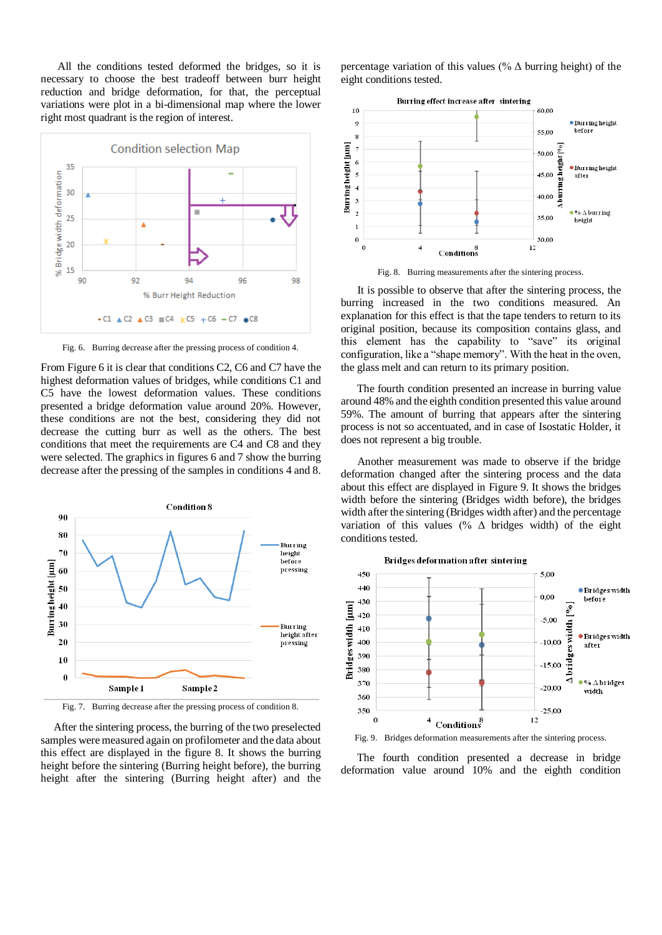All the conditions tested deformed the bridges, so it is necessary to choose the best tradeoff between burr height reduction and bridge deformation, for that, the perceptual variations were plot in a bi-dimensional map where the lower right most quadrant is the region of interest.



Fig. 6. Burring decrease after the pressing process of condition 4.

From Figure 6 it is clear that conditions C2, C6 and C7 have the highest deformation values of bridges, while conditions C1 and C5 have the lowest deformation values. These conditions presented a bridge deformation value around 20%. However, these conditions are not the best, considering they did not decrease the cutting burr as well as the others. The best conditions that meet the requirements are C4 and C8 and they were selected. The graphics in figures 6 and 7 show the burring decrease after the pressing of the samples in conditions 4 and 8.



Fig. 7. Burring decrease after the pressing process of condition 8.

 After the sintering process, the burring of the two preselected samples were measured again on profilometer and the data about this effect are displayed in the figure 8. It shows the burring height before the sintering (Burring height before), the burring height after the sintering (Burring height after) and the

percentage variation of this values (%  $\Delta$  burring height) of the eight conditions tested.



Fig. 8. Burring measurements after the sintering process.

 It is possible to observe that after the sintering process, the burring increased in the two conditions measured. An explanation for this effect is that the tape tenders to return to its original position, because its composition contains glass, and this element has the capability to "save" its original configuration, like a "shape memory". With the heat in the oven, the glass melt and can return to its primary position.

 The fourth condition presented an increase in burring value around 48% and the eighth condition presented this value around 59%. The amount of burring that appears after the sintering process is not so accentuated, and in case of Isostatic Holder, it does not represent a big trouble.

 Another measurement was made to observe if the bridge deformation changed after the sintering process and the data about this effect are displayed in Figure 9. It shows the bridges width before the sintering (Bridges width before), the bridges width after the sintering (Bridges width after) and the percentage variation of this values (%  $\Delta$  bridges width) of the eight conditions tested.



Fig. 9. Bridges deformation measurements after the sintering process.

 The fourth condition presented a decrease in bridge deformation value around 10% and the eighth condition